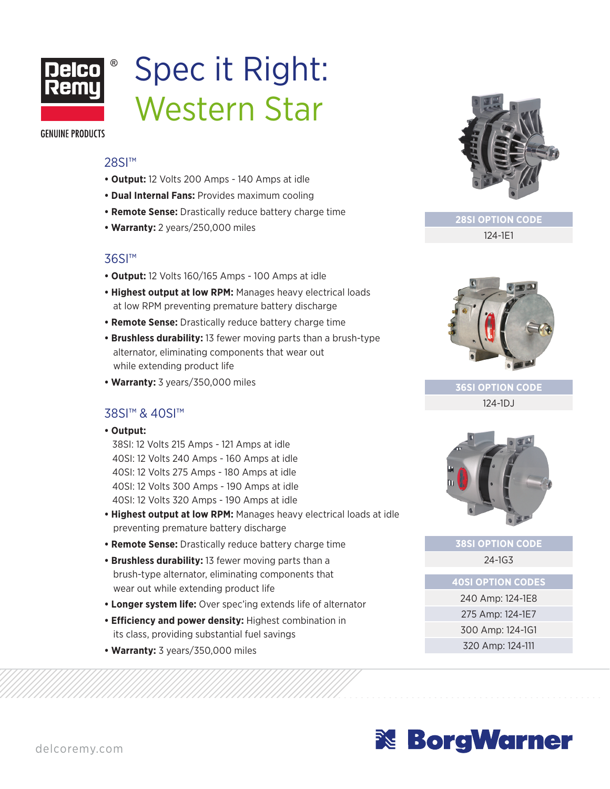

# Spec it Right: Western Star

**GENUINE PRODUCTS** 

#### 28SI<sup>™</sup>

- **Output:** 12 Volts 200 Amps 140 Amps at idle
- **Dual Internal Fans:** Provides maximum cooling
- **Remote Sense:** Drastically reduce battery charge time
- **Warranty:** 2 years/250,000 miles

## 36SI™

- **Output:** 12 Volts 160/165 Amps 100 Amps at idle
- **Highest output at low RPM:** Manages heavy electrical loads at low RPM preventing premature battery discharge
- **Remote Sense:** Drastically reduce battery charge time
- **Brushless durability:** 13 fewer moving parts than a brush-type alternator, eliminating components that wear out while extending product life
- **Warranty:** 3 years/350,000 miles

## 38SI™ & 40SI™

**• Output:**

38SI: 12 Volts 215 Amps - 121 Amps at idle 40SI: 12 Volts 240 Amps - 160 Amps at idle 40SI: 12 Volts 275 Amps - 180 Amps at idle 40SI: 12 Volts 300 Amps - 190 Amps at idle 40SI: 12 Volts 320 Amps - 190 Amps at idle

- **Highest output at low RPM:** Manages heavy electrical loads at idle preventing premature battery discharge
- **Remote Sense:** Drastically reduce battery charge time
- **Brushless durability:** 13 fewer moving parts than a brush-type alternator, eliminating components that wear out while extending product life
- **Longer system life:** Over spec'ing extends life of alternator
- **Efficiency and power density:** Highest combination in its class, providing substantial fuel savings
- **Warranty:** 3 years/350,000 miles



**28SI OPTION CODE**

124-1E1



**36SI OPTION CODE** 124-1DJ



## **38SI OPTION CODE** 24-1G3

**40SI OPTION CODES**

240 Amp: 124-1E8 275 Amp: 124-1E7 300 Amp: 124-1G1 320 Amp: 124-111